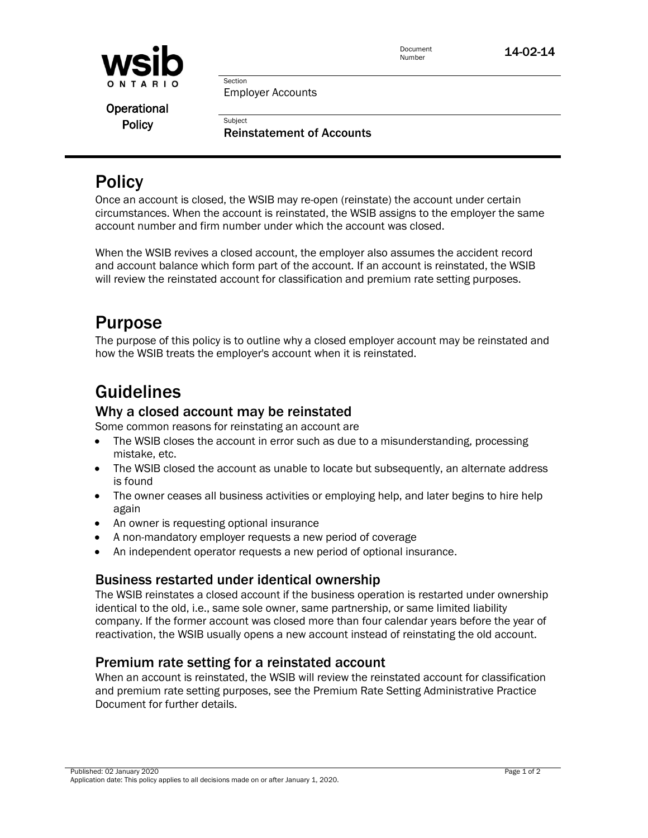

**Policy** 

Document

Employer Accounts **Subject Operational** 

Section

Reinstatement of Accounts

## **Policy**

Once an account is closed, the WSIB may re-open (reinstate) the account under certain circumstances. When the account is reinstated, the WSIB assigns to the employer the same account number and firm number under which the account was closed.

When the WSIB revives a closed account, the employer also assumes the accident record and account balance which form part of the account. If an account is reinstated, the WSIB will review the reinstated account for classification and premium rate setting purposes.

## Purpose

The purpose of this policy is to outline why a closed employer account may be reinstated and how the WSIB treats the employer's account when it is reinstated.

## Guidelines

### Why a closed account may be reinstated

Some common reasons for reinstating an account are

- The WSIB closes the account in error such as due to a misunderstanding, processing mistake, etc.
- The WSIB closed the account as unable to locate but subsequently, an alternate address is found
- The owner ceases all business activities or employing help, and later begins to hire help again
- An owner is requesting optional insurance
- A non-mandatory employer requests a new period of coverage
- An independent operator requests a new period of optional insurance.

## Business restarted under identical ownership

The WSIB reinstates a closed account if the business operation is restarted under ownership identical to the old, i.e., same sole owner, same partnership, or same limited liability company. If the former account was closed more than four calendar years before the year of reactivation, the WSIB usually opens a new account instead of reinstating the old account.

## Premium rate setting for a reinstated account

When an account is reinstated, the WSIB will review the reinstated account for classification and premium rate setting purposes, see the Premium Rate Setting Administrative Practice Document for further details.